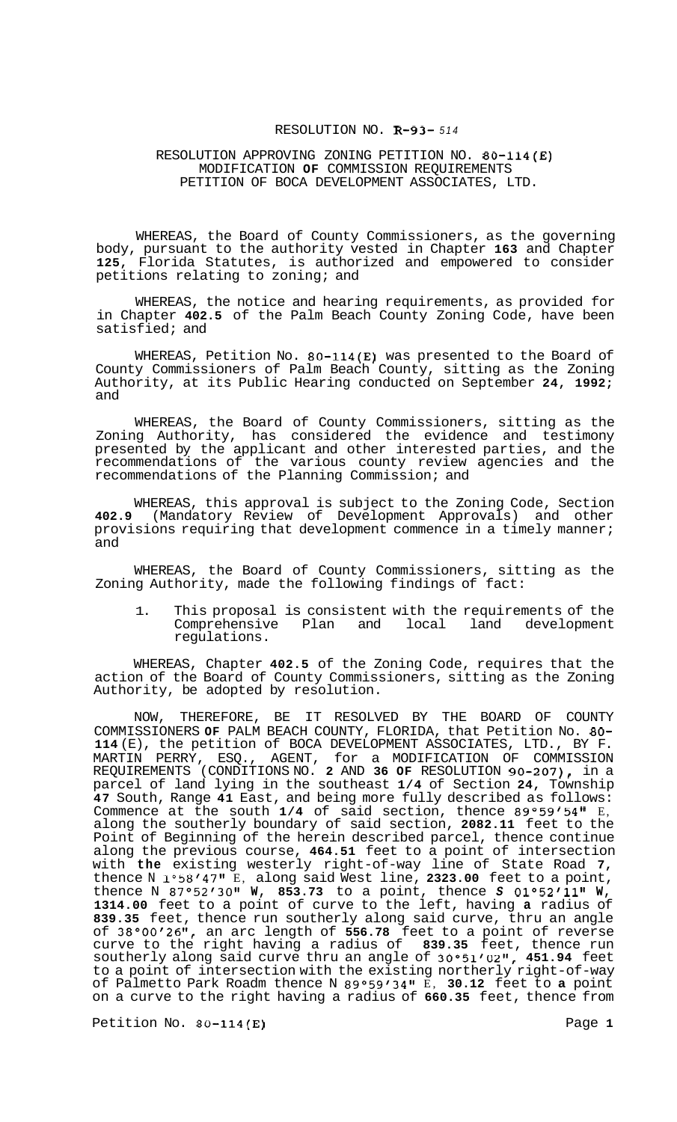### RESOLUTION NO. **R-93-** *<sup>514</sup>*

## RESOLUTION APPROVING ZONING PETITION NO. **80-114(E)**  MODIFICATION **OF** COMMISSION REQUIREMENTS PETITION OF BOCA DEVELOPMENT ASSOCIATES, LTD.

WHEREAS, the Board of County Commissioners, as the governing body, pursuant to the authority vested in Chapter **163** and Chapter **125,** Florida Statutes, is authorized and empowered to consider petitions relating to zoning; and

WHEREAS, the notice and hearing requirements, as provided for in Chapter **402.5** of the Palm Beach County Zoning Code, have been satisfied; and

WHEREAS, Petition No. **80-114(E)** was presented to the Board of County Commissioners of Palm Beach County, sitting as the Zoning Authority, at its Public Hearing conducted on September **24, 1992;**  and

WHEREAS, the Board of County Commissioners, sitting as the Zoning Authority, has considered the evidence and testimony presented by the applicant and other interested parties, and the recommendations of the various county review agencies and the recommendations of the Planning Commission; and

WHEREAS, this approval is subject to the Zoning Code, Section **402.9** (Mandatory Review of Development Approvals) and other provisions requiring that development commence in a timely manner; and

WHEREAS, the Board of County Commissioners, sitting as the Zoning Authority, made the following findings of fact:

1. This proposal is consistent with the requirements of the<br>Comprehensive Plan and local land development Comprehensive Plan and local regulations.

WHEREAS, Chapter **402.5** of the Zoning Code, requires that the action of the Board of County Commissioners, sitting as the Zoning Authority, be adopted by resolution.

NOW, THEREFORE, BE IT RESOLVED BY THE BOARD OF COUNTY COMMISSIONERS **OF** PALM BEACH COUNTY, FLORIDA, that Petition No. **80- 114** (E), the petition of BOCA DEVELOPMENT ASSOCIATES, LTD., BY F. MARTIN PERRY, ESQ., AGENT, for a MODIFICATION OF COMMISSION REQUIREMENTS (CONDITIONS NO. **2** AND **36 OF** RESOLUTION **90-207),** in a parcel of land lying in the southeast **1/4** of Section **24,** Township **47** South, Range **41** East, and being more fully described as follows: Commence at the south 1/4 of said section, thence 89°59'54" E, along the southerly boundary of said section, **2082.11** feet to the Point of Beginning of the herein described parcel, thence continue along the previous course, **464.51** feet to a point of intersection with **the** existing westerly right-of-way line of State Road **7,**  thence N **1°58'4711** E, along said West line, **2323.00** feet to a point, thence N 87°52'30" W, 853.73 to a point, thence S 01°52'11" W, **1314.00** feet to a point of curve to the left, having **a** radius of **839.35** feet, thence run southerly along said curve, thru an angle of **38°00t2611,** an arc length of **556.78** feet to a point of reverse curve to the right having a radius of **839.35** feet, thence run southerly along said curve thru an angle of 30°51'02", 451.94 feet to a point of intersection with the existing northerly right-of-way of Palmetto Park Roadm thence N **89°59'3411** E, **30.12** feet to **a** point on a curve to the right having a radius of **660.35** feet, thence from

Petition No. **80-114(E)** Page **1**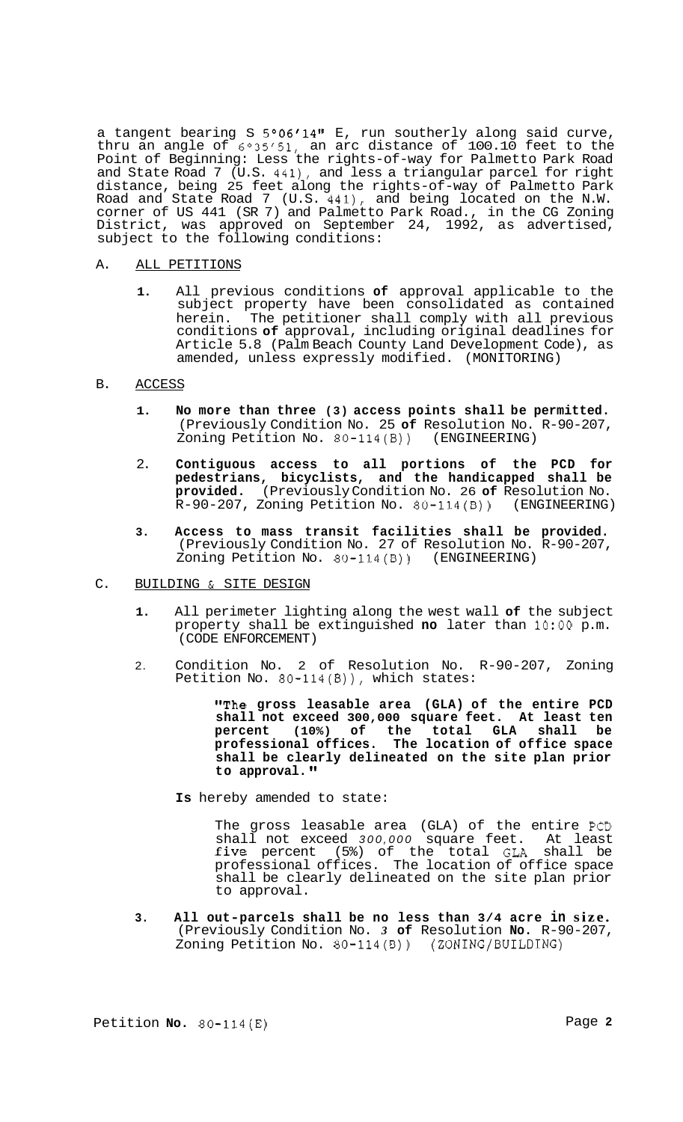a tangent bearing S 5°06'14" E, run southerly along said curve, thru an angle of  $6°35'51$ , an arc distance of 100.10 feet to the Point of Beginning: Less the rights-of-way for Palmetto Park Road and State Road 7 (U.S. 441), and less a triangular parcel for right distance, being 25 feet along the rights-of-way of Palmetto Park Road and State Road 7 (U.S. 441), and being located on the N.W. corner of US 441 (SR 7) and Palmetto Park Road., in the CG Zoning District, was approved on September 24, 1992, as advertised, subject to the following conditions:

## A. ALL PETITIONS

**1.** All previous conditions **of** approval applicable to the subject property have been consolidated as contained herein. The petitioner shall comply with all previous conditions **of** approval, including original deadlines for Article 5.8 (Palm Beach County Land Development Code), as amended, unless expressly modified. (MONITORING)

## B. ACCESS

- **1. No more than three (3) access points shall be permitted.**  (Previously Condition No. 25 **of** Resolution No. R-90-207, Zoning Petition No. 80-114(B)) (ENGINEERING)
- 2. **Contiguous access to all portions of the PCD for pedestrians, bicyclists, and the handicapped shall be provided.** (Previously Condition No. 26 **of** Resolution No.  $R-90-207$ , Zoning Petition No. 80-114(B))
- **3. Access to mass transit facilities shall be provided.**  (Previously Condition No. 27 of Resolution No. R-90-207, Zoning Petition No. 80-114(B)) (ENGINEERING)
- C. BUILDING & SITE DESIGN
	- **1.** All perimeter lighting along the west wall **of** the subject property shall be extinguished **no** later than **1O:OO** p.m. (CODE ENFORCEMENT)
	- 2. Condition No. 2 of Resolution No. R-90-207, Zoning Petition No. 80-114(B)), which states:

**"The gross leasable area (GLA) of the entire PCD shall not exceed 300,000 square feet. At least ten percent (10%) of the total GLA shall be professional offices. The location of office space shall be clearly delineated on the site plan prior to approval.** 

**Is** hereby amended to state:

The gross leasable area (GLA) of the entire PCD shall not exceed *300,000* square feet. At least five percent (5%) of the total GLA shall be professional offices. The location of office space shall be clearly delineated on the site plan prior to approval.

**3. All out-parcels shall be no less than 3/4 acre in size.**  (Previously Condition No. *3* **of** Resolution **No.** R-90-207, Zoning Petition No. 80-114(B)) (ZONING/BUILDING)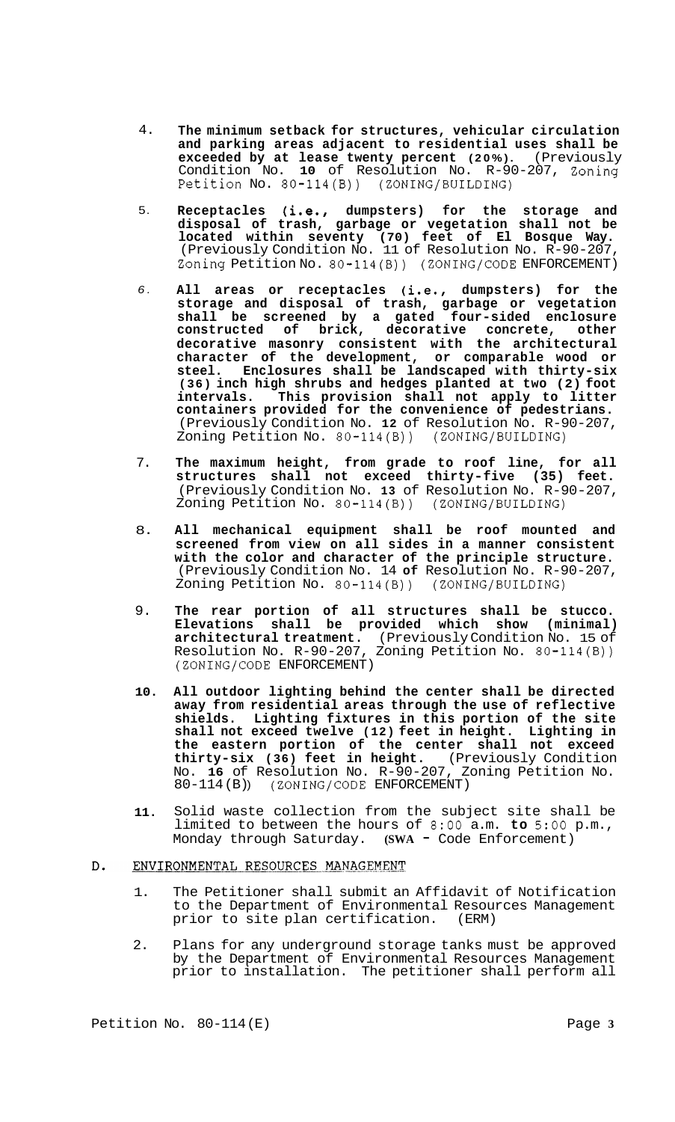- 4. **The minimum setback for structures, vehicular circulation and parking areas adjacent to residential uses shall be exceeded by at lease twenty percent (20%).** (Previously Condition No. **10** of Resolution No. R-90-207, Zoning Petition No. 80-114(B)) (ZONING/BUILDING)
- 5. **Receptacles (i.e., dumpsters) for the storage and disposal of trash, garbage or vegetation shall not be located within seventy (70) feet of El Bosque Way.**  (Previously Condition No. 11 of Resolution No. R-90-207, Zoning Petition No. 80-114(B)) (ZONING/CODE ENFORCEMENT)
- *6.*  **All areas or receptacles (i.e., dumpsters) for the storage and disposal of trash, garbage or vegetation shall be screened by a gated four-sided enclosure constructed of brick, decorative concrete, other decorative masonry consistent with the architectural character of the development, or comparable wood or steel. Enclosures shall be landscaped with thirty-six (36) inch high shrubs and hedges planted at two (2) foot intervals. This provision shall not apply to litter containers provided for the convenience of pedestrians.**  (Previously Condition No. **12** of Resolution No. R-90-207, Zoning Petition No.  $80-114(B)$ )
- 7. **The maximum height, from grade to roof line, for all structures shall not exceed thirty-five (35) feet.**  (Previously Condition No. **13** of Resolution No. R-90-207, Zoning Petition No. 80-114(B)) (ZONING/BUILDING)
- 8. **All mechanical equipment shall be roof mounted and screened from view on all sides in a manner consistent with the color and character of the principle structure.**  (Previously Condition No. 14 **of** Resolution No. R-90-207, Zoning Petition No. 80-114(B)) (ZONING/BUILDING)
- 9. **The rear portion of all structures shall be stucco. Elevations shall be provided which show (minimal) architectural treatment.** (Previously Condition No. 15 of Resolution No. R-90-207, Zoning Petition No. 80-114(B)) (ZONING/CODE ENFORCEMENT)
- **10. All outdoor lighting behind the center shall be directed away from residential areas through the use of reflective shields. Lighting fixtures in this portion of the site shall not exceed twelve (12) feet in height. Lighting in the eastern portion of the center shall not exceed thirty-six (36) feet in height.** (Previously Condition No. **16** of Resolution No. R-90-207, Zoning Petition No. 80-114 (B) ) (ZONING/CODE ENFORCEMENT)
- **11.**  Solid waste collection from the subject site shall be limited to between the hours of 8:OO a.m. **to** 5:OO p.m., Monday through Saturday. **(SWA - Code Enforcement)**

#### $D$ . ENVIRONMENTAL RESOURCES MANAGEMENT

- 1. The Petitioner shall submit an Affidavit of Notification to the Department of Environmental Resources Management<br>prior to site plan certification. (ERM) prior to site plan certification.
- 2. Plans for any underground storage tanks must be approved by the Department of Environmental Resources Management prior to installation. The petitioner shall perform all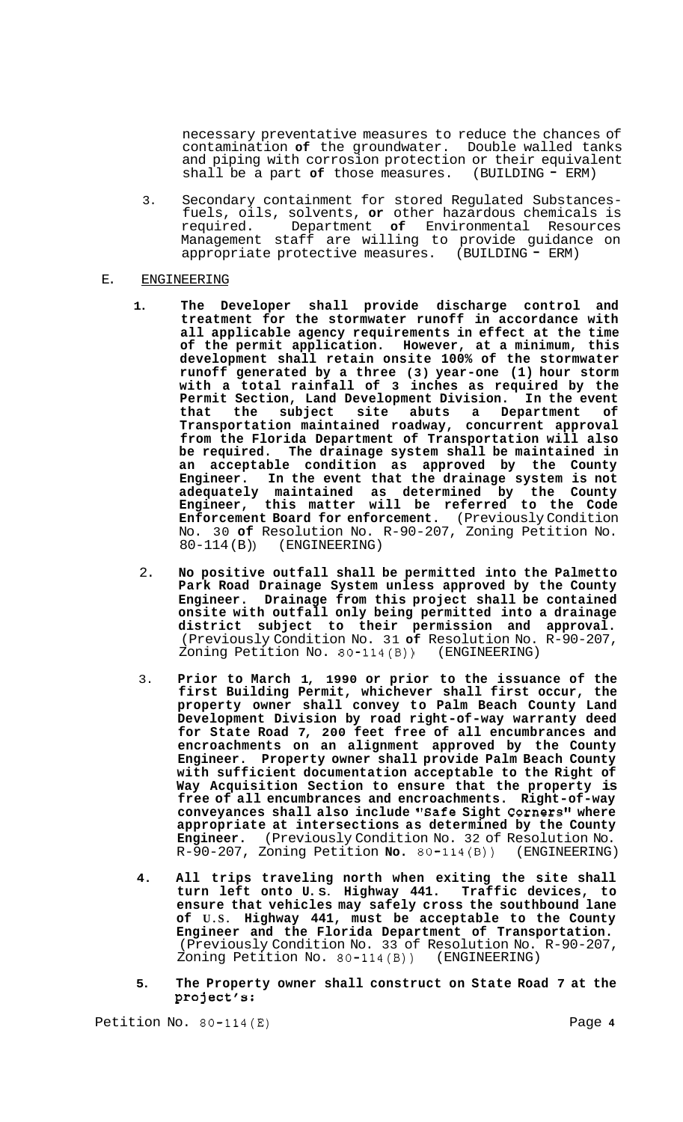necessary preventative measures to reduce the chances of contamination **of** the groundwater. Double walled tanks and piping with corrosion protection or their equivalent shall be a part of those measures. (BUILDING - ERM)

3. Secondary containment for stored Regulated Substances- fuels, oils, solvents, **or** other hazardous chemicals is Department of Environmental Resources Management staff are willing to provide guidance on appropriate protective measures. (BUILDING = ERM) appropriate protective measures.

## E. ENGINEERING

- **1. The Developer shall provide discharge control and treatment for the stormwater runoff in accordance with all applicable agency requirements in effect at the time of the permit application. However, at a minimum, this development shall retain onsite 100% of the stormwater runoff generated by a three (3) year-one (1) hour storm with a total rainfall of 3 inches as required by the Permit Section, Land Development Division. In the event that the subject site abuts a Department of Transportation maintained roadway, concurrent approval from the Florida Department of Transportation will also be required. The drainage system shall be maintained in an acceptable condition as approved by the County Engineer. In the event that the drainage system is not adequately maintained as determined by the County Engineer, this matter will be referred to the Code Enforcement Board for enforcement.** (Previously Condition No. 30 **of** Resolution No. R-90-207, Zoning Petition No. 80-114(B)) (ENGINEERING)
- 2. **No positive outfall shall be permitted into the Palmetto Park Road Drainage System unless approved by the County Engineer. Drainage from this project shall be contained onsite with outfall only being permitted into a drainage district subject to their permission and approval.**  (Previously Condition No. 31 **of** Resolution No. R-90-207, Zoning Petition No. 80-114(B)) (ENGINEERING)
- 3. **Prior to March 1, 1990 or prior to the issuance of the first Building Permit, whichever shall first occur, the property owner shall convey to Palm Beach County Land Development Division by road right-of-way warranty deed for State Road 7, 200 feet free of all encumbrances and encroachments on an alignment approved by the County Engineer. Property owner shall provide Palm Beach County with sufficient documentation acceptable to the Right of Way Acquisition Section to ensure that the property is free of all encumbrances and encroachments. Right-of-way conveyances shall also include "Safe Sight Corners" where appropriate at intersections as determined by the County Engineer.** (Previously Condition No. 32 of Resolution No. R-90-207, Zoning Petition No. 80-114(B)) (ENGINEERING) R-90-207, Zoning Petition **No.** 80-114(B))
- **4. All trips traveling north when exiting the site shall turn left onto U. S. Highway 441. Traffic devices, to ensure that vehicles may safely cross the southbound lane of U.S. Highway 441, must be acceptable to the County Engineer and the Florida Department of Transportation.**  (Previously Condition No. 33 of Resolution No. R-90-207, Zoning Petition No. 80-114(B)) (ENGINEERING)
- **5. The Property owner shall construct on State Road 7 at the project's:**

Petition No. 80-114(E) 2008 Page 4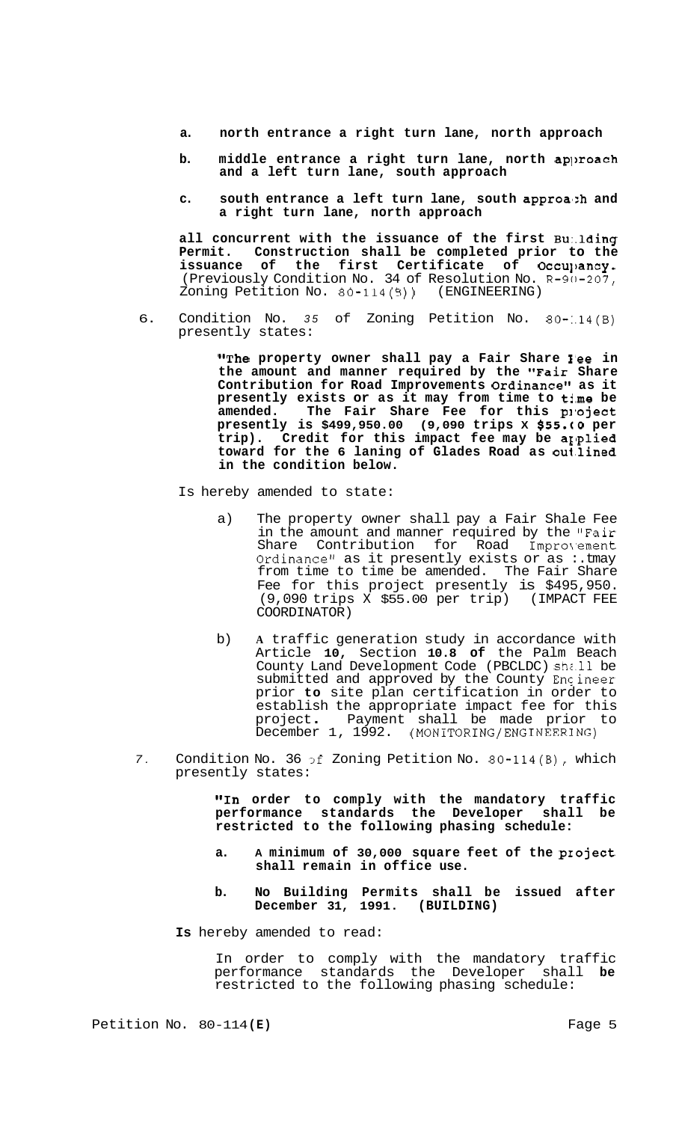- **a. north entrance a right turn lane, north approach**
- **b.** middle entrance a right turn lane, north approach **and a left turn lane, south approach**
- c. south entrance a left turn lane, south approa<sub>2h</sub> and **a right turn lane, north approach**

**all concurrent with the issuance of the first Bu:.lding Permit. Construction shall be completed prior to the**  issuance of the first Certificate of Occu<sub>l'</sub>ancy. (Previously Condition No. 34 of Resolution No. **R-90-207,**  Zoning Petition No. 80-114(B)) (ENGINEERING)

6. Condition No. *35* of Zoning Petition No. 80-:.14(B) presently states:

> **"The property owner shall pay a Fair Share I'ee in the amount and manner required by the "Fair Share**  Contribution for Road Improvements Ordinance" as it presently exists or as it may from time to time be amended. The Fair Share Fee for this project **presently is \$499,950.00 (9,090 trips X \$55.(10 per**  trip). Credit for this impact fee may be applied **toward for the 6 laning of Glades Road as oul.lined in the condition below.**

Is hereby amended to state:

- a) The property owner shall pay a Fair Shale Fee in the amount and manner required by the "Fair<br>Share Contribution for Road Improvement Contribution for Road Improvement Ordinance" as it presently exists or as  $:$  tmay from time to time be amended. The Fair Share Fee for this project presently is \$495,950. (9,090 trips X \$55.00 per trip) (IMPACT FEE COORDINATOR)
- b) **A** traffic generation study in accordance with Article **10,** Section **10.8 of** the Palm Beach County Land Development Code (PBCLDC) shi.11 be submitted and approved by the County Encineer prior **to** site plan certification in order to establish the appropriate impact fee for this project . Payment shall be made prior to December 1, 1992. **(MONITORING/ENGINEERING)**
- *7.* Condition No. 36 3f Zoning Petition No. 80-114(B), which presently states:

**"In order to comply with the mandatory traffic performance standards the Developer shall be restricted to the following phasing schedule:** 

- **a. A minimum of 30,000 square feet of the pxoject shall remain in office use.**
- **b. No Building Permits shall be issued after December 31, 1991. (BUILDING)**
- **Is** hereby amended to read:

In order to comply with the mandatory traffic performance standards the Developer shall **be**  restricted to the following phasing schedule: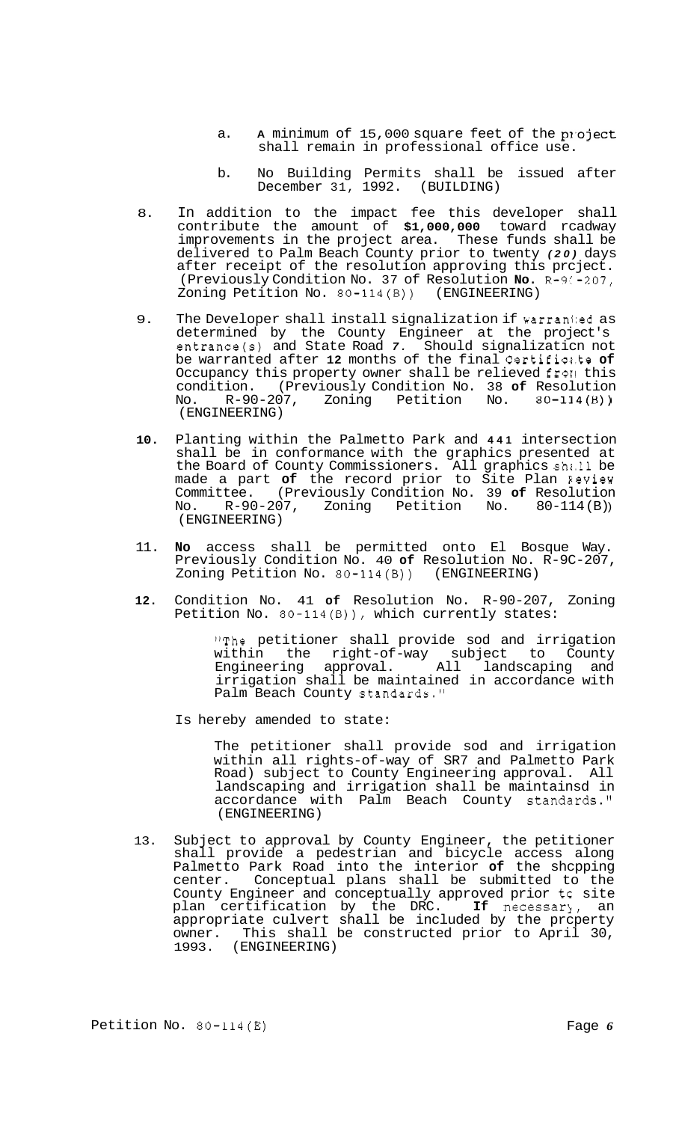- a. A minimum of 15,000 square feet of the project shall remain in professional office use.
- b. No Building Permits shall be issued after December 31, 1992. (BUILDING)
- 8. In addition to the impact fee this developer shall contribute the amount of **\$1,000,000** toward rcadway improvements in the project area. These funds shall be delivered to Palm Beach County prior to twenty *(20)* days after receipt of the resolution approving this prcject. (Previously Condition No. 37 of Resolution **No.** R-9C-207, Zoning Petition No.  $80-114(B)$ )
- 9. The Developer shall install signalization if warranted as determined by the County Engineer at the project's entrance(s) and State Road *7.* Should signalizaticn not be warranted after **12** months of the final Certifics.te **of**  Occupancy this property owner shall be relieved from this condition. (Previously Condition No. 38 **of** Resolution No. R-90-207, Zoning Petition No. 80-114(B)) (ENGINEERING)
- **10.** Planting within the Palmetto Park and **441** intersection shall be in conformance with the graphics presented at the Board of County Commissioners. All graphics shi.11 be made a part **of** the record prior to Site Plan Eeview Committee. (Previously Condition No. 39 **of** Resolution No. R-90-207, Zoning Petition No. 80-114(B)) (ENGINEERING)
- 11. **No** access shall be permitted onto El Bosque Way. Previously Condition No. 40 **of** Resolution No. R-9C-207, Zoning Petition No. 80-114(B)) (ENGINEERING)
- **12.** Condition No. 41 **of** Resolution No. R-90-207, Zoning Petition No. 80-114(B)), which currently states:

"The petitioner shall provide sod and irrigation within the right-of-way subject to County Engineering approval. All landscaping and irrigation shall be maintained in accordance with Palm Beach County standards."

Is hereby amended to state:

The petitioner shall provide sod and irrigation within all rights-of-way of SR7 and Palmetto Park Road) subject to County Engineering approval. All landscaping and irrigation shall be maintainsd in accordance with Palm Beach County standards." (ENGINEERING)

13. Subject to approval by County Engineer, the petitioner shall provide a pedestrian and bicycle access along Palmetto Park Road into the interior **of** the shcpping center. Conceptual plans shall be submitted to the County Engineer and conceptually approved prior tc site plan certification by the DRC. If necessary, an appropriate culvert shall be included by the prcperty owner. This shall be constructed prior to April 30, 1993. (ENGINEERING)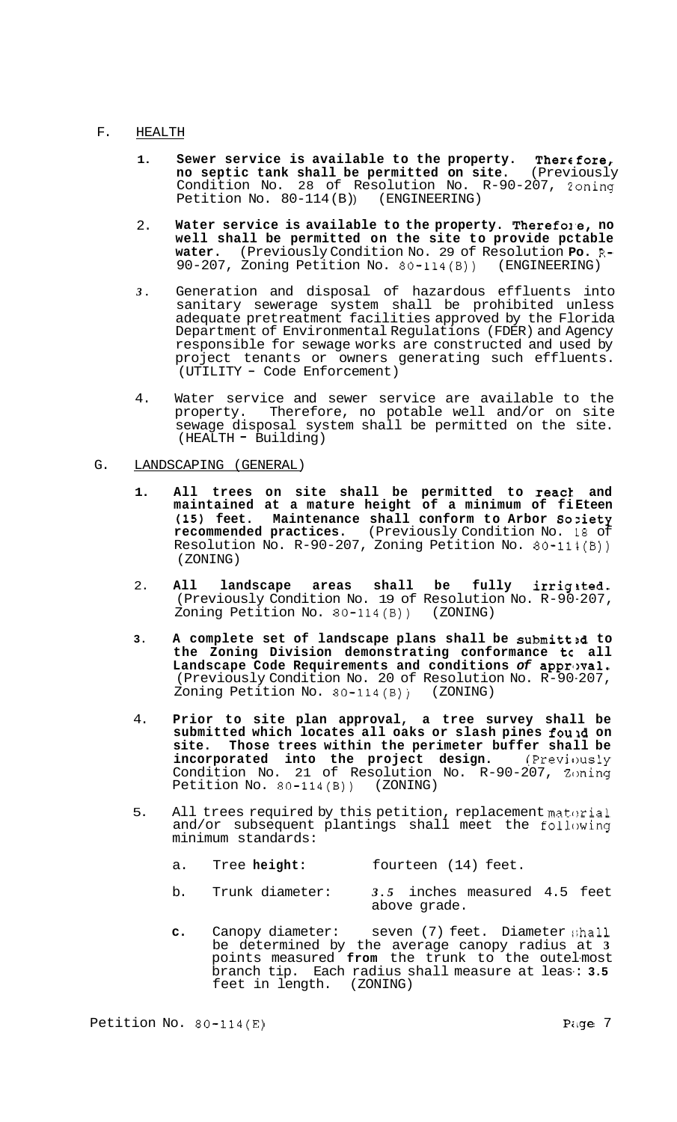# F. HEALTH

- **1. Sewer service is available to the property. Thercfore, no septic tank shall be permitted on site.** (Previously Condition No. 28 of Resolution No. R-90-207, zoning Petition No. 80-114(B) (ENGINEERING)
- 2. Water service is available to the property. Therefole, no **well shall be permitted on the site to provide pctable water.** (Previously Condition No. 29 of Resolution **Po.** R-90-207, Zoning Petition No. 80-114(B)) (ENGINEERING)
- *3.*  Generation and disposal of hazardous effluents into sanitary sewerage system shall be prohibited unless adequate pretreatment facilities approved by the Florida Department of Environmental Regulations (FDER) and Agency responsible for sewage works are constructed and used by project tenants or owners generating such effluents. (UTILITY - Code Enforcement)
- 4. Water service and sewer service are available to the property. Therefore, no potable well and/or on site Therefore, no potable well and/or on site sewage disposal system shall be permitted on the site. (HEALTH - Building)

## G. LANDSCAPING (GENERAL)

- **1. All trees on site shall be permitted to react and maintained at a mature height of a minimum of fi Eteen (15) feet. Maintenance shall conform to Arbor Soziety recommended practices.** (Previously Condition No. 18 of Resolution No. R-90-207, Zoning Petition No. 80-114(B)) (ZONING)
- 2. **All landscape areas shall be fully irrigited.**  (Previously Condition No. 19 of Resolution No. R-90-207, Zoning Petition No. 80-114(B)) (ZONING)
- **3.** A complete set of landscape plans shall be submitted to **the Zoning Division demonstrating conformance tc all Landscape Code Requirements and conditions** *of* **apprlwal.**  (Previously Condition No. 20 of Resolution No. R-90-207, Zoning Petition No. 80-114(B)) (ZONING)
- 4. **Prior to site plan approval, a tree survey shall be submitted which locates all oaks or slash pines fould on site. Those trees within the perimeter buffer shall be incorporated into the project design.** (Previously Condition No. 21 of Resolution No. R-90-207, Zoning Petition No. 80-114(B)) (ZONING)
- 5. All trees required by this petition, replacement material and/or subsequent plantings shall meet the following minimum standards:
	- a. Tree **height:** fourteen (14) feet.
	- b. Trunk diameter: *3.5* inches measured 4.5 feet above grade.
	- **c.** Canopy diameter: seven (7) feet. Diameter :;hall be determined by the average canopy radius at **3**  points measured **from** the trunk to the outel-most branch tip. Each radius shall measure at leas-: **3.5**  feet in length. (ZONING)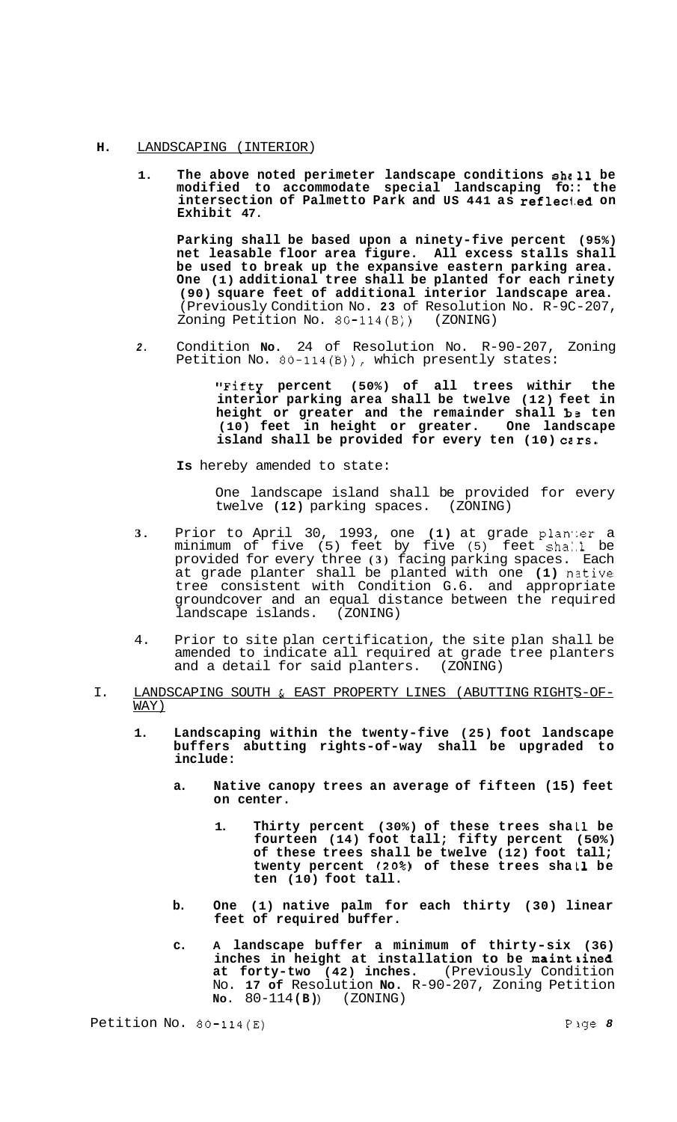# **H.** LANDSCAPING (INTERIOR)

**1. The above noted perimeter landscape conditions shc11 be modified to accommodate special landscaping fo:: the intersection of Palmetto Park and US 441 as reflecl-ed on Exhibit 47.** 

**Parking shall be based upon a ninety-five percent (95%) net leasable floor area figure. All excess stalls shall be used to break up the expansive eastern parking area. One (1) additional tree shall be planted for each rinety (90) square feet of additional interior landscape area.**  (Previously Condition No. **23** of Resolution No. R-9C-207, Zoning Petition No.  $80-114(B)$ )

*2.* Condition **No.** 24 of Resolution No. R-90-207, Zoning Petition No. 80-114(B)), which presently states:

> **"Fifty percent (50%) of all trees withir the interior parking area shall be twelve (12) feet in height or greater and the remainder shall bs ten (10) feet in height or greater. One landscape island shall be provided for every ten (10) ccrs.**

**Is** hereby amended to state:

One landscape island shall be provided for every<br>twelve (12) parking spaces. (ZONING) twelve **(12)** parking spaces.

- **3.** Prior to April 30, 1993, one (1) at grade planter a minimum of five (5) feet by five (5) feet sha:.l be provided for every three **(3)** facing parking spaces. Each at grade planter shall be planted with one (1) native tree consistent with Condition G.6. and appropriate groundcover and an equal distance between the required landscape islands.
- 4. Prior to site plan certification, the site plan shall be amended to indicate all required at grade tree planters and a detail for said planters. (ZONING)
- I. LANDSCAPING SOUTH & EAST PROPERTY LINES (ABUTTING RIGHTS-OF- WAY)
	- **1. Landscaping within the twenty-five (25) foot landscape buffers abutting rights-of-way shall be upgraded to include:** 
		- **a. Native canopy trees an average of fifteen (15) feet on center.** 
			- 1. Thirty percent (30%) of these trees shall be **fourteen (14) foot tall; fifty percent (50%) of these trees shall be twelve (12) foot tall; twenty percent** *(20%)* **of these trees sha L1 be ten (10) foot tall.**
		- **b. One (1) native palm for each thirty (30) linear feet of required buffer.**
		- **c. A landscape buffer a minimum of thirty-six (36) inches in height at installation to be maintkined at forty-two (42) inches.** (Previously Condition No. **17 of** Resolution **No.** R-90-207, Zoning Petition **NO.** 80-114 **(B)** ) (ZONING)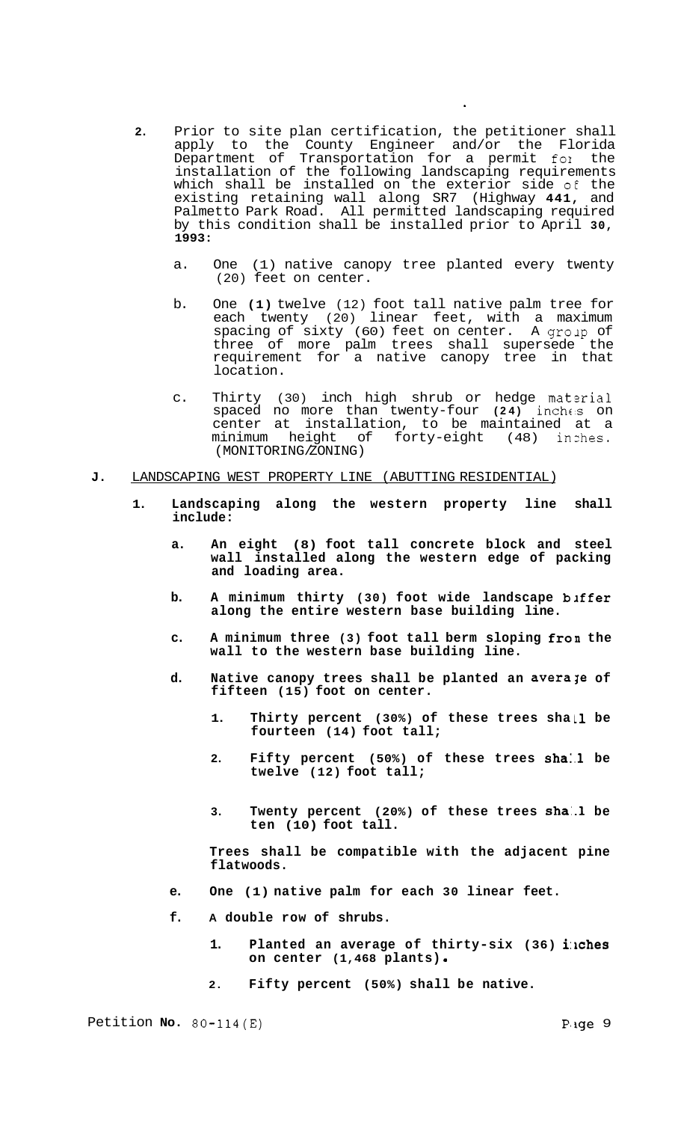- **2.** Prior to site plan certification, the petitioner shall apply to the County Engineer and/or the Florida Department of Transportation for a permit for the installation of the following landscaping requirements which shall be installed on the exterior side *o€* the existing retaining wall along SR7 (Highway **441,** and Palmetto Park Road. All permitted landscaping required by this condition shall be installed prior to April **30, 1993:** 
	- a. One (1) native canopy tree planted every twenty (20) feet on center.
	- b. One **(1)** twelve (12) foot tall native palm tree for each twenty (20) linear feet, with a maximum spacing of sixty (60) feet on center. A group of three of more palm trees shall supersede the requirement for a native canopy tree in that location.
	- c. Thirty (30) inch high shrub or hedge material spaced no more than twenty-four (24) inches on center at installation, to be maintained at a minimum height of forty-eight (48) inzhes. (MONITORING/ZONING)

### **J.** LANDSCAPING WEST PROPERTY LINE (ABUTTING RESIDENTIAL)

- **1. Landscaping along the western property line shall include:** 
	- **a. An eight (8) foot tall concrete block and steel wall installed along the western edge of packing and loading area.**
	- b. A minimum thirty (30) foot wide landscape b*iffer* **along the entire western base building line.**
	- **c. A minimum three (3) foot tall berm sloping fron the wall to the western base building line.**
	- d. Native canopy trees shall be planted an averaje of **fifteen (15) foot on center.** 
		- 1. Thirty percent (30%) of these trees shall be **fourteen (14) foot tall;**
		- **2. Fifty percent (50%) of these trees sha:.l be twelve (12) foot tall;**
		- 3. Twenty percent (20%) of these trees shall be **ten (10) foot tall.**

**Trees shall be compatible with the adjacent pine flatwoods.** 

- **e. One (1) native palm for each 30 linear feet.**
- **f. A double row of shrubs.** 
	- 1. Planted an average of thirty-six (36) inches **on center (1,468 plants)**
	- **2. Fifty percent (50%) shall be native.**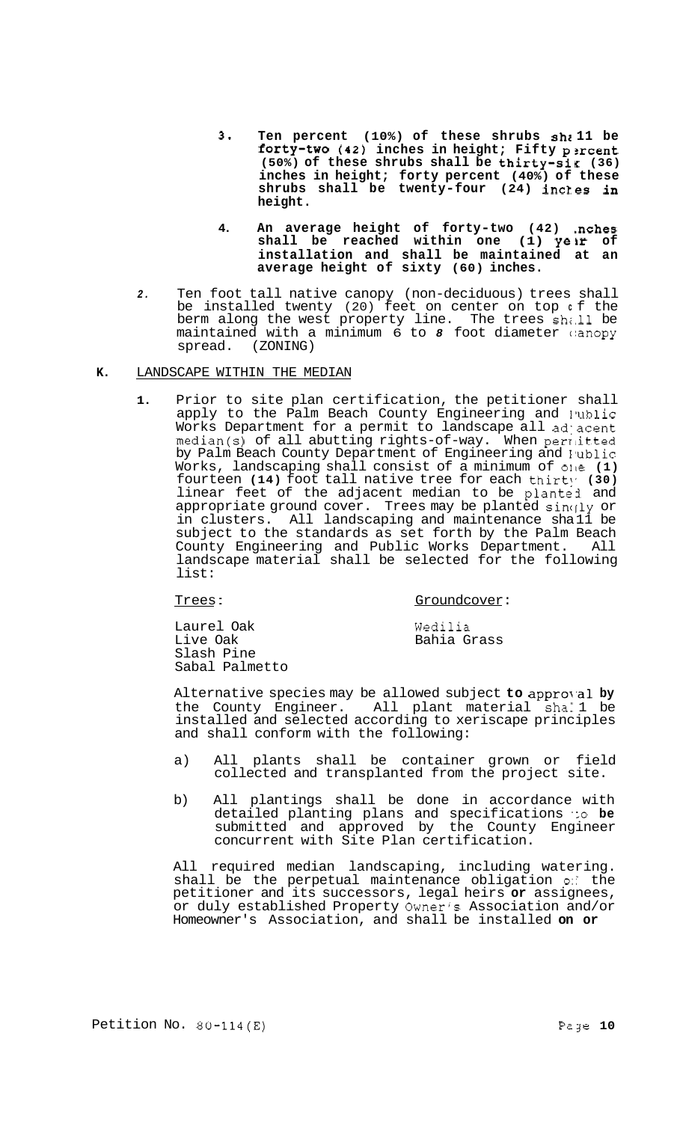- **3. Ten percent (10%) of these shrubs shr 11 be fOrty-tWO (42) inches in height; Fifty p2rcent (50%) of these shrubs shall be thirty-sig (36) inches in height; forty percent (40%) of these shrubs shall be twenty-four (24) incles in height.**
- 4. An average height of forty-two (42) .nches **shall be reached within one (1) yeir of installation and shall be maintained at an average height of sixty (60) inches.**
- *2.* Ten foot tall native canopy (non-deciduous) trees shall be installed twenty (20) feet on center on top **c** f the berm along the west property line. The trees shall be maintained with a minimum 6 to 8 foot diameter canopy spread. (ZONING)
- **K.** LANDSCAPE WITHIN THE MEDIAN
	- **1.** Prior to site plan certification, the petitioner shall apply to the Palm Beach County Engineering and Iublic Works Department for a permit to landscape all adjacent median(s) of all abutting rights-of-way. When perriitted by Palm Beach County Department of Engineering and Public Works, landscaping shall consist of a minimum of olle **(1)**  fourteen **(14)** foot tall native tree for each thirt], **(30)**  linear feet of the adjacent median to be planted and appropriate ground cover. Trees may be planted singly or in clusters. All landscaping and maintenance sha 11 be subject to the standards as set forth by the Palm Beach County Engineering and Public Works Department. All landscape material shall be selected for the following list:

Trees: Groundcover:

Laurel Oak Live Oak Slash Pine Sabal Palmetto Wedilia Bahia Grass

Alternative species may be allowed subject **to** approval by the County Engineer. All plant material shall be All plant material sha. 1 be installed and selected according to xeriscape principles and shall conform with the following:

- a) All plants shall be container grown or field collected and transplanted from the project site.
- b) All plantings shall be done in accordance with detailed planting plans and specifications *':o* **be**  submitted and approved by the County Engineer concurrent with Site Plan certification.

All required median landscaping, including watering. shall be the perpetual maintenance obligation *0::* the petitioner and its successors, legal heirs **or** assignees, or duly established Property Owner's Association and/or Homeowner's Association, and shall be installed **on or**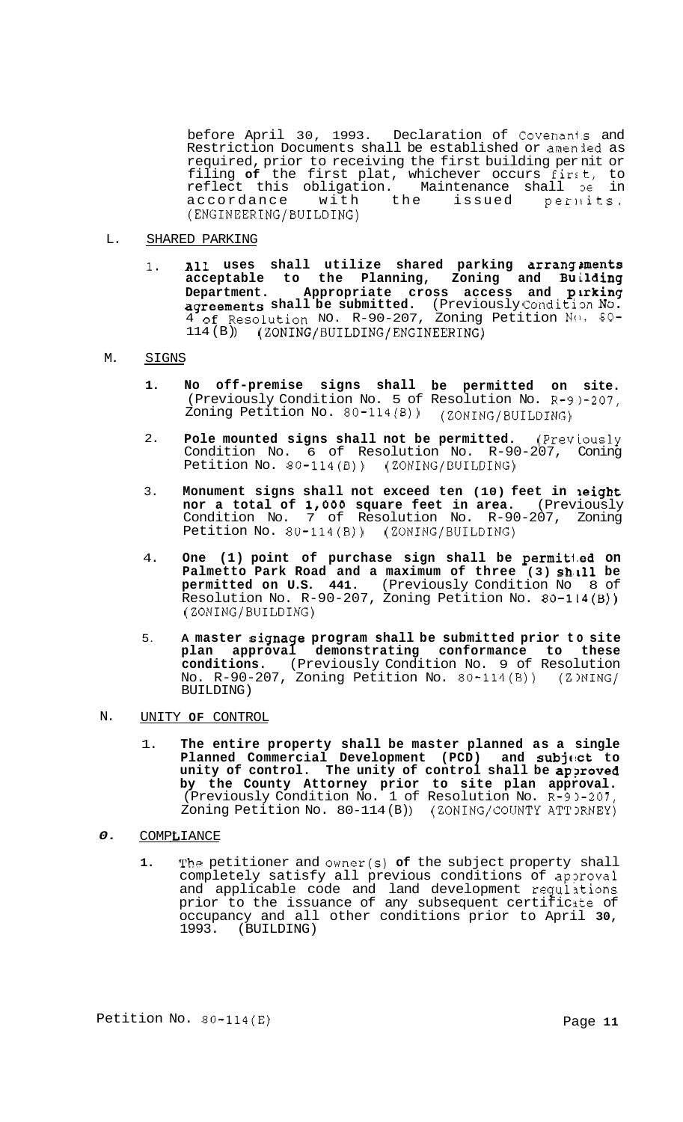before April 30, 1993. Declaration of Covenants and Restriction Documents shall be established or amenied as required, prior to receiving the first building per nit or filing **of** the first plat, whichever occurs first, to reflect this obligation. Maintenance shall 3e in accordance with the issued per $\mathfrak n$ its. (ENGINEERING/BUILDING)

- $\mathbf{L}$ . SHARED PARKING
	- 1. **All** uses shall utilize shared parking arrang ments **acceptable to the Planning, Zoning and Building Department. Appropriate cross access and plrking agreements shall be submitted.** (Previously Conditim NO. 4 of Resolution NO. R-90-207, Zoning Petition No. 80-114 (B) ) (zoNING/BUILDING/ENGINEERING)

#### M. SIGNS

- **1. No off-premise signs shall be permitted on site.**  (Previously Condition No. 5 of Resolution No. R-9)-207, Zoning Petition No. 80-114(B)) (ZONING/BUILDING)
- 2. **Pole mounted signs shall not be permitted.** (Previously Condition No. 6 of Resolution No. R-90-207, Coning Petition No. 80-114(B)) (ZONING/BUILDING)
- 3. **Monument signs shall not exceed ten (10) feet in leight nor a total of 1,000 square feet in area.** (Previously Condition No. 7 of Resolution No. R-90-207, Zoning Petition No. 80-114(B)) (ZONING/BUILDING)
- 4. One (1) point of purchase sign shall be permitted on Palmetto Park Road and a maximum of three (3) shill be **permitted on U.S. 441.** (Previously Condition No 8 of Resolution No. R-90-207, Zoning Petition No. 80-1L4(B)) (ZONING/BUILDING)
- 5. **A master signage program shall be submitted prior to site plan approval demonstrating conformance to these conditions.** (Previously Condition No. 9 of Resolution No. R-90-207, Zoning Petition No. 80-114(B)) (ZINING/ BUILDING)
- N. UNITY **OF** CONTROL
	- 1. **The entire property shall be master planned as a single Planned Commercial Development (PCD) and subj(!ct to unity of control. The unity of control shall be ap?roved by the County Attorney prior to site plan approval.**  (Previously Condition No. 1 of Resolution No. R-95-207, Zoning Petition No. 80-114 (B) ) (ZONING/COUNTY ATT3RNEY)
- *0.*  **COMPLIANCE** 
	- **1.** The petitioner and owner(s) **of** the subject property shall completely satisfy all previous conditions of approval and applicable code and land development regulations prior to the issuance of any subsequent certificite of occupancy and all other conditions prior to April **30,**  1993. (BUILDING)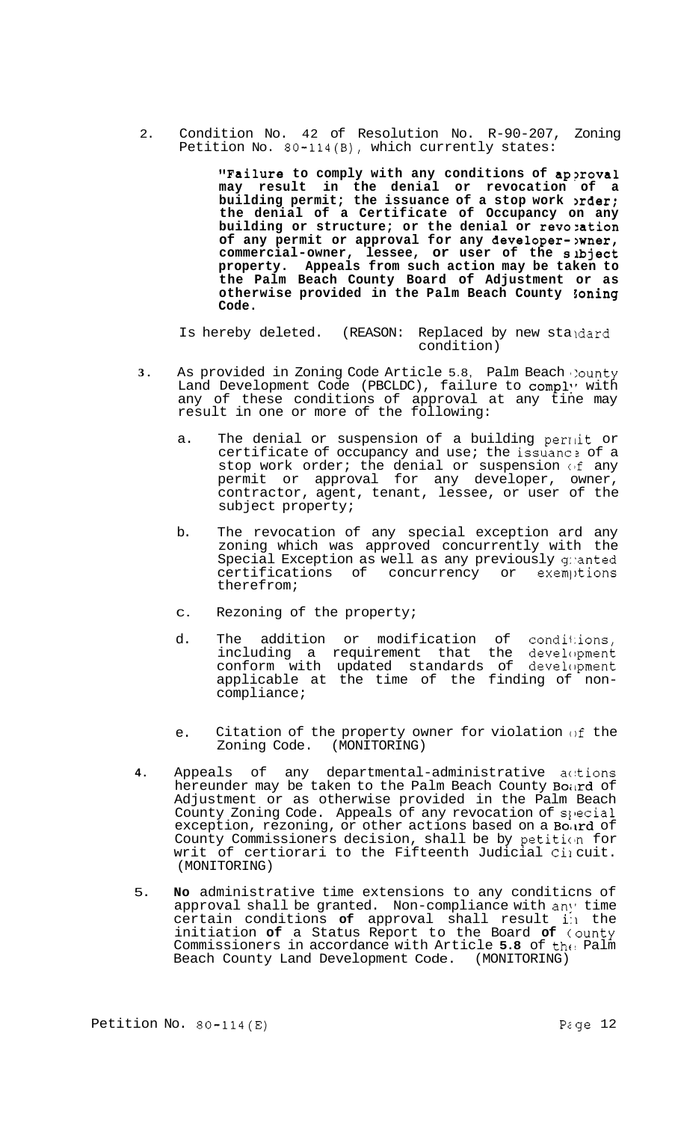2. Condition No. 42 of Resolution No. R-90-207, Zoning Petition No. 80-114(B), which currently states:

> **"Failure** to comply with any conditions of approval **may result in the denial or revocation of a building permit; the issuance of a stop work >rder; the denial of a Certificate of Occupancy on any building or structure; or the denial or revozation of any permit or approval for any developer->wner, commercial-owner, lessee, or user of the sibject property. Appeals from such action may be taken to the Palm Beach County Board of Adjustment or as otherwise provided in the Palm Beach County goning Code.**

Is hereby deleted. (REASON: Replaced by new staidard condition)

- **3.** As provided in Zoning Code Article 5.8, Palm Beach County Land Development Code (PBCLDC), failure to comply with any of these conditions of approval at any tine may result in one or more of the following:
	- a. The denial or suspension of a building permit or certificate of occupancy and use; the issuance of a stop work order; the denial or suspension of any permit or approval for any developer, owner, contractor, agent, tenant, lessee, or user of the subject property;
	- b. The revocation of any special exception ard any zoning which was approved concurrently with the Special Exception as well as any previously granted certifications of concurrency or exemptions therefrom;
	- C. Rezoning of the property;
	- d. The addition or modification of conditions, including a requirement that the development conform with updated standards of development applicable at the time of the finding of non-<br>compliance;
	- e. Citation of the property owner for violation of the Zoning Code. (MONITORING)
- 4. Appeals of any departmental-administrative actions hereunder may be taken to the Palm Beach County Board of Adjustment or as otherwise provided in the Palm Beach County Zoning Code. Appeals of any revocation of special exception, rezoning, or other actions based on a Bourd of County Commissioners decision, shall be by petitim for writ of certiorari to the Fifteenth Judicial Cil cuit. (MONITORING)
- 5. **No** administrative time extensions to any conditicns of approval shall be granted. Non-compliance with any time certain conditions **of** approval shall result **i:1** the initiation **of** a Status Report to the Board **of** county Commissioners in accordance with Article 5.8 of the Palm Beach County Land Development Code. (MONITORING)